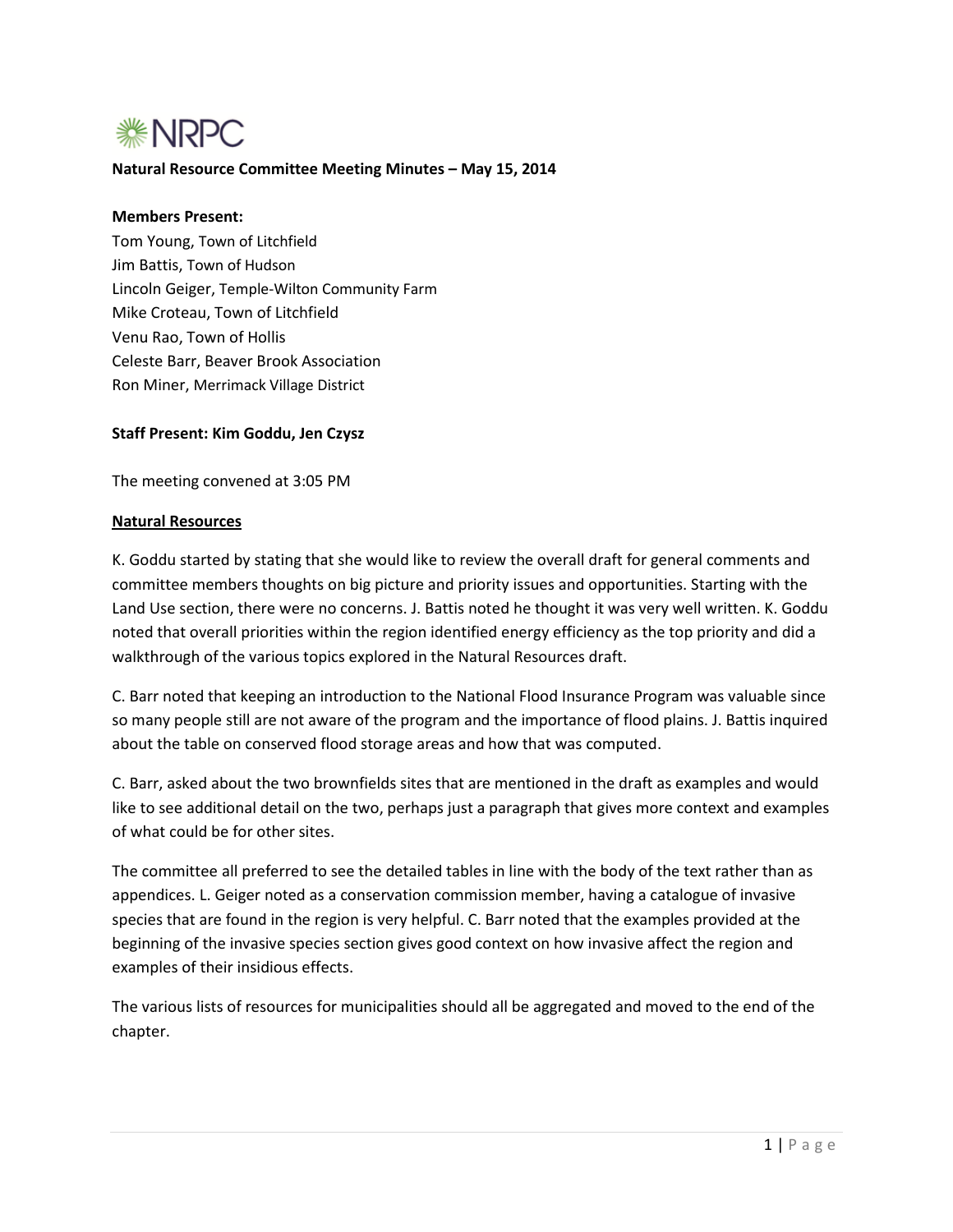

## **Natural Resource Committee Meeting Minutes – May 15, 2014**

#### **Members Present:**

Tom Young, Town of Litchfield Jim Battis, Town of Hudson Lincoln Geiger, Temple-Wilton Community Farm Mike Croteau, Town of Litchfield Venu Rao, Town of Hollis Celeste Barr, Beaver Brook Association Ron Miner, Merrimack Village District

## **Staff Present: Kim Goddu, Jen Czysz**

The meeting convened at 3:05 PM

#### **Natural Resources**

K. Goddu started by stating that she would like to review the overall draft for general comments and committee members thoughts on big picture and priority issues and opportunities. Starting with the Land Use section, there were no concerns. J. Battis noted he thought it was very well written. K. Goddu noted that overall priorities within the region identified energy efficiency as the top priority and did a walkthrough of the various topics explored in the Natural Resources draft.

C. Barr noted that keeping an introduction to the National Flood Insurance Program was valuable since so many people still are not aware of the program and the importance of flood plains. J. Battis inquired about the table on conserved flood storage areas and how that was computed.

C. Barr, asked about the two brownfields sites that are mentioned in the draft as examples and would like to see additional detail on the two, perhaps just a paragraph that gives more context and examples of what could be for other sites.

The committee all preferred to see the detailed tables in line with the body of the text rather than as appendices. L. Geiger noted as a conservation commission member, having a catalogue of invasive species that are found in the region is very helpful. C. Barr noted that the examples provided at the beginning of the invasive species section gives good context on how invasive affect the region and examples of their insidious effects.

The various lists of resources for municipalities should all be aggregated and moved to the end of the chapter.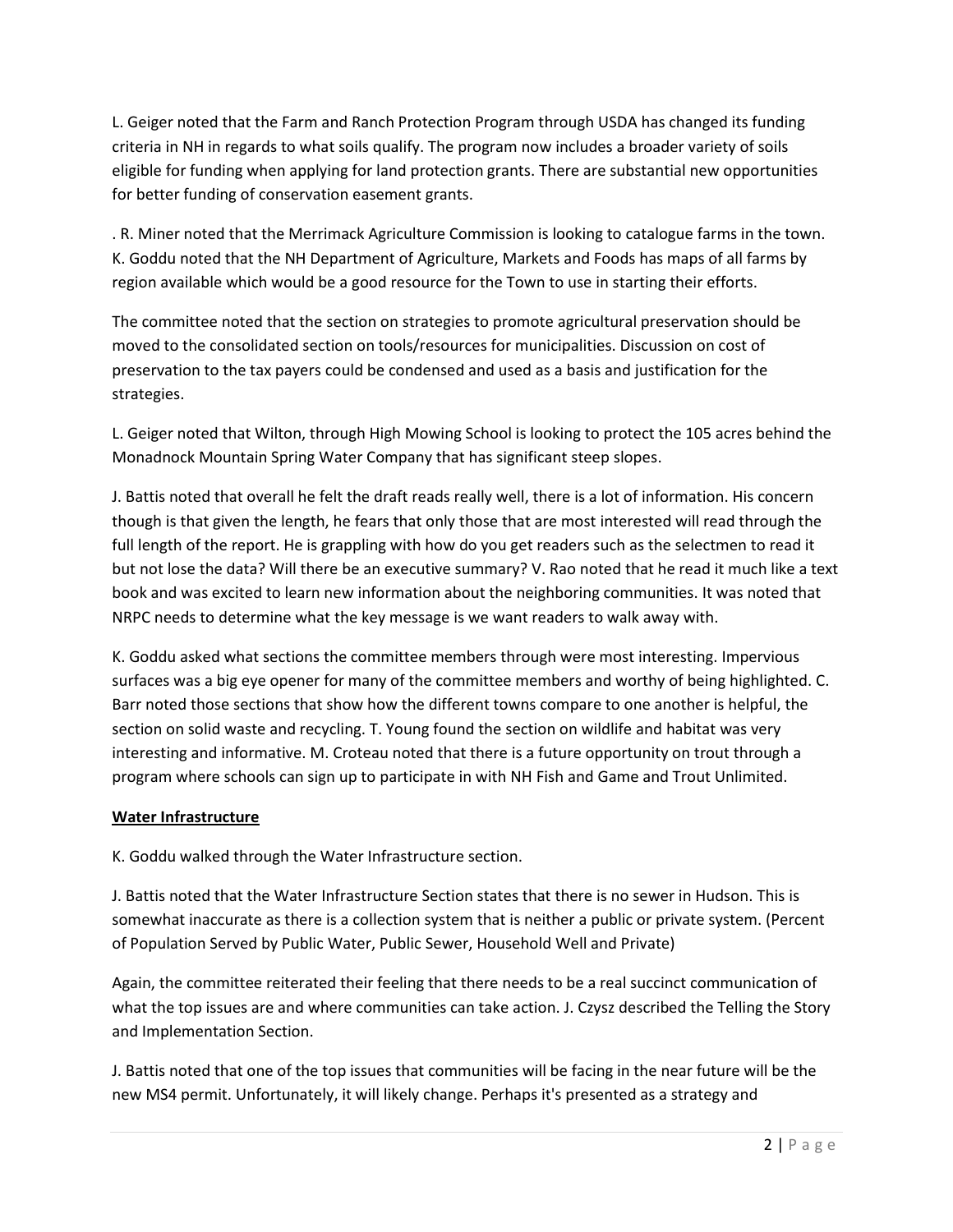L. Geiger noted that the Farm and Ranch Protection Program through USDA has changed its funding criteria in NH in regards to what soils qualify. The program now includes a broader variety of soils eligible for funding when applying for land protection grants. There are substantial new opportunities for better funding of conservation easement grants.

. R. Miner noted that the Merrimack Agriculture Commission is looking to catalogue farms in the town. K. Goddu noted that the NH Department of Agriculture, Markets and Foods has maps of all farms by region available which would be a good resource for the Town to use in starting their efforts.

The committee noted that the section on strategies to promote agricultural preservation should be moved to the consolidated section on tools/resources for municipalities. Discussion on cost of preservation to the tax payers could be condensed and used as a basis and justification for the strategies.

L. Geiger noted that Wilton, through High Mowing School is looking to protect the 105 acres behind the Monadnock Mountain Spring Water Company that has significant steep slopes.

J. Battis noted that overall he felt the draft reads really well, there is a lot of information. His concern though is that given the length, he fears that only those that are most interested will read through the full length of the report. He is grappling with how do you get readers such as the selectmen to read it but not lose the data? Will there be an executive summary? V. Rao noted that he read it much like a text book and was excited to learn new information about the neighboring communities. It was noted that NRPC needs to determine what the key message is we want readers to walk away with.

K. Goddu asked what sections the committee members through were most interesting. Impervious surfaces was a big eye opener for many of the committee members and worthy of being highlighted. C. Barr noted those sections that show how the different towns compare to one another is helpful, the section on solid waste and recycling. T. Young found the section on wildlife and habitat was very interesting and informative. M. Croteau noted that there is a future opportunity on trout through a program where schools can sign up to participate in with NH Fish and Game and Trout Unlimited.

# **Water Infrastructure**

K. Goddu walked through the Water Infrastructure section.

J. Battis noted that the Water Infrastructure Section states that there is no sewer in Hudson. This is somewhat inaccurate as there is a collection system that is neither a public or private system. (Percent of Population Served by Public Water, Public Sewer, Household Well and Private)

Again, the committee reiterated their feeling that there needs to be a real succinct communication of what the top issues are and where communities can take action. J. Czysz described the Telling the Story and Implementation Section.

J. Battis noted that one of the top issues that communities will be facing in the near future will be the new MS4 permit. Unfortunately, it will likely change. Perhaps it's presented as a strategy and